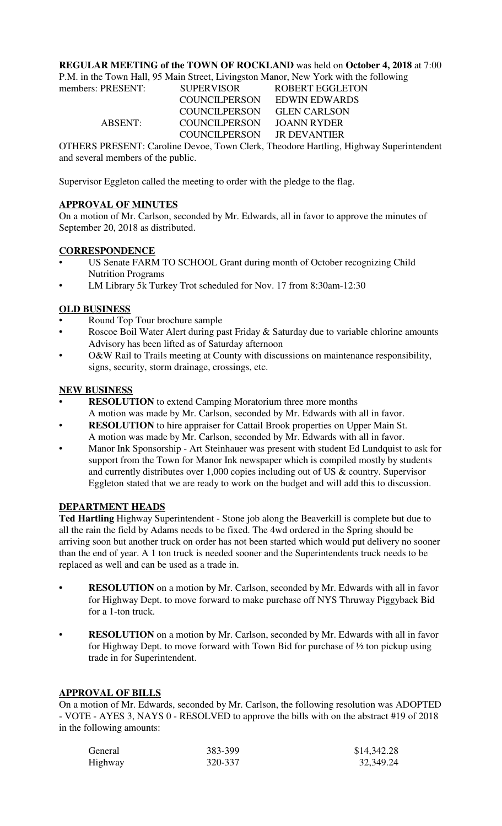#### **REGULAR MEETING of the TOWN OF ROCKLAND** was held on **October 4, 2018** at 7:00

P.M. in the Town Hall, 95 Main Street, Livingston Manor, New York with the following

| members: PRESENT: | <b>SUPERVISOR</b>    | <b>ROBERT EGGLETON</b> |  |
|-------------------|----------------------|------------------------|--|
|                   | <b>COUNCILPERSON</b> | EDWIN EDWARDS          |  |
|                   | COUNCILPERSON        | <b>GLEN CARLSON</b>    |  |
| ABSENT:           | <b>COUNCILPERSON</b> | JOANN RYDER            |  |
|                   | COUNCILPERSON        | <b>IR DEVANTIER</b>    |  |
|                   |                      |                        |  |

OTHERS PRESENT: Caroline Devoe, Town Clerk, Theodore Hartling, Highway Superintendent and several members of the public.

Supervisor Eggleton called the meeting to order with the pledge to the flag.

## **APPROVAL OF MINUTES**

On a motion of Mr. Carlson, seconded by Mr. Edwards, all in favor to approve the minutes of September 20, 2018 as distributed.

## **CORRESPONDENCE**

- US Senate FARM TO SCHOOL Grant during month of October recognizing Child Nutrition Programs
- LM Library 5k Turkey Trot scheduled for Nov. 17 from 8:30am-12:30

## **OLD BUSINESS**

- Round Top Tour brochure sample
- Roscoe Boil Water Alert during past Friday & Saturday due to variable chlorine amounts Advisory has been lifted as of Saturday afternoon
- O&W Rail to Trails meeting at County with discussions on maintenance responsibility, signs, security, storm drainage, crossings, etc.

## **NEW BUSINESS**

- **RESOLUTION** to extend Camping Moratorium three more months A motion was made by Mr. Carlson, seconded by Mr. Edwards with all in favor.
- **RESOLUTION** to hire appraiser for Cattail Brook properties on Upper Main St. A motion was made by Mr. Carlson, seconded by Mr. Edwards with all in favor.
- Manor Ink Sponsorship Art Steinhauer was present with student Ed Lundquist to ask for support from the Town for Manor Ink newspaper which is compiled mostly by students and currently distributes over 1,000 copies including out of US & country. Supervisor Eggleton stated that we are ready to work on the budget and will add this to discussion.

#### **DEPARTMENT HEADS**

**Ted Hartling** Highway Superintendent - Stone job along the Beaverkill is complete but due to all the rain the field by Adams needs to be fixed. The 4wd ordered in the Spring should be arriving soon but another truck on order has not been started which would put delivery no sooner than the end of year. A 1 ton truck is needed sooner and the Superintendents truck needs to be replaced as well and can be used as a trade in.

- **RESOLUTION** on a motion by Mr. Carlson, seconded by Mr. Edwards with all in favor for Highway Dept. to move forward to make purchase off NYS Thruway Piggyback Bid for a 1-ton truck.
- **RESOLUTION** on a motion by Mr. Carlson, seconded by Mr. Edwards with all in favor for Highway Dept. to move forward with Town Bid for purchase of ½ ton pickup using trade in for Superintendent.

#### **APPROVAL OF BILLS**

On a motion of Mr. Edwards, seconded by Mr. Carlson, the following resolution was ADOPTED - VOTE - AYES 3, NAYS 0 - RESOLVED to approve the bills with on the abstract #19 of 2018 in the following amounts:

| General | 383-399 | \$14,342.28 |
|---------|---------|-------------|
| Highway | 320-337 | 32,349.24   |